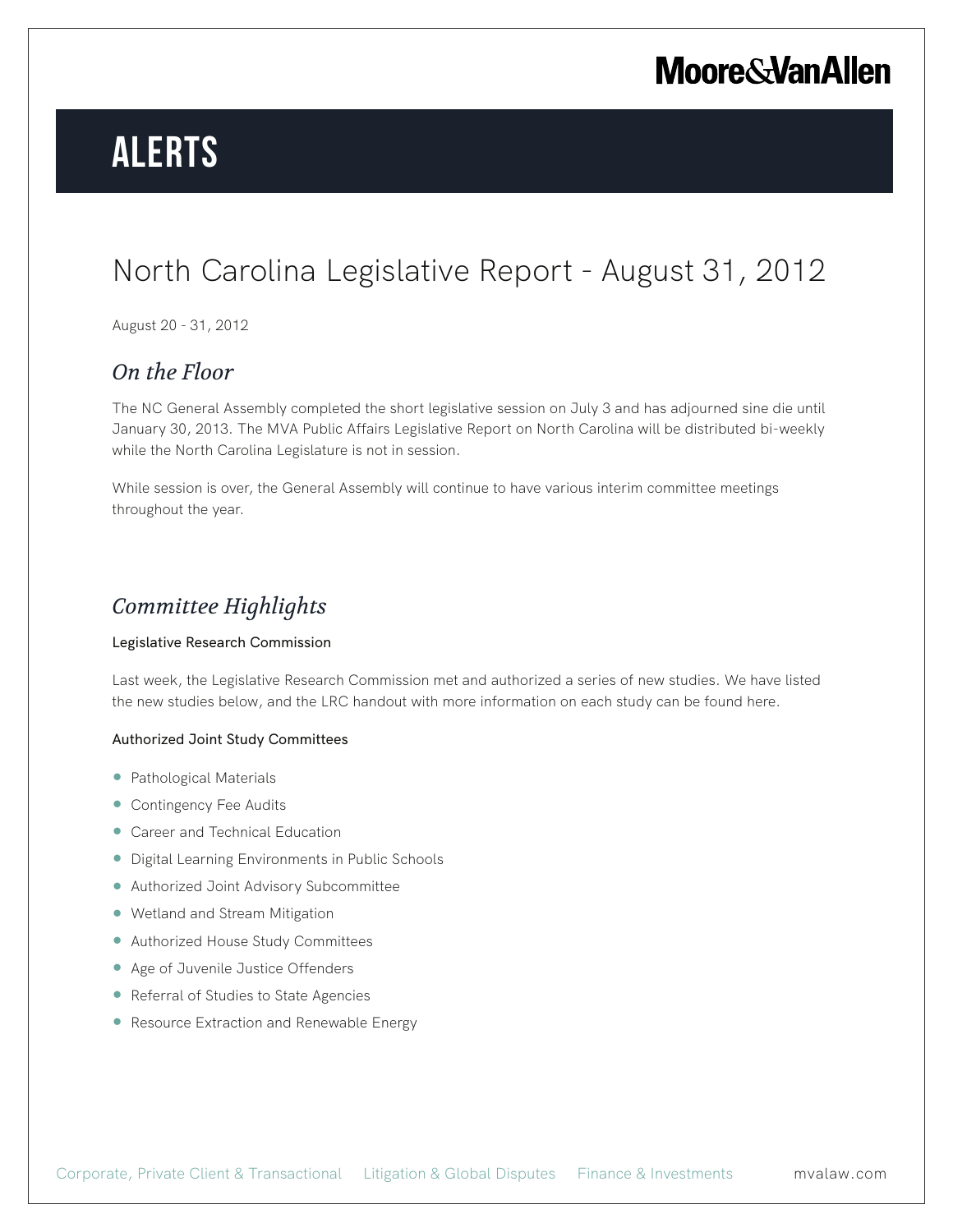# **Alerts**

### North Carolina Legislative Report - August 31, 2012

August 20 - 31, 2012

### *On the Floor*

The NC General Assembly completed the short legislative session on July 3 and has adjourned sine die until January 30, 2013. The MVA Public Affairs Legislative Report on North Carolina will be distributed bi-weekly while the North Carolina Legislature is not in session.

While session is over, the General Assembly will continue to have various interim committee meetings throughout the year.

### *Committee Highlights*

#### Legislative Research Commission

Last week, the Legislative Research Commission met and authorized a series of new studies. We have listed the new studies below, and the LRC handout with more information on each study can be found here.

#### Authorized Joint Study Committees

- Pathological Materials
- Contingency Fee Audits
- Career and Technical Education
- Digital Learning Environments in Public Schools
- Authorized Joint Advisory Subcommittee
- Wetland and Stream Mitigation
- Authorized House Study Committees
- Age of Juvenile Justice Offenders
- Referral of Studies to State Agencies
- Resource Extraction and Renewable Energy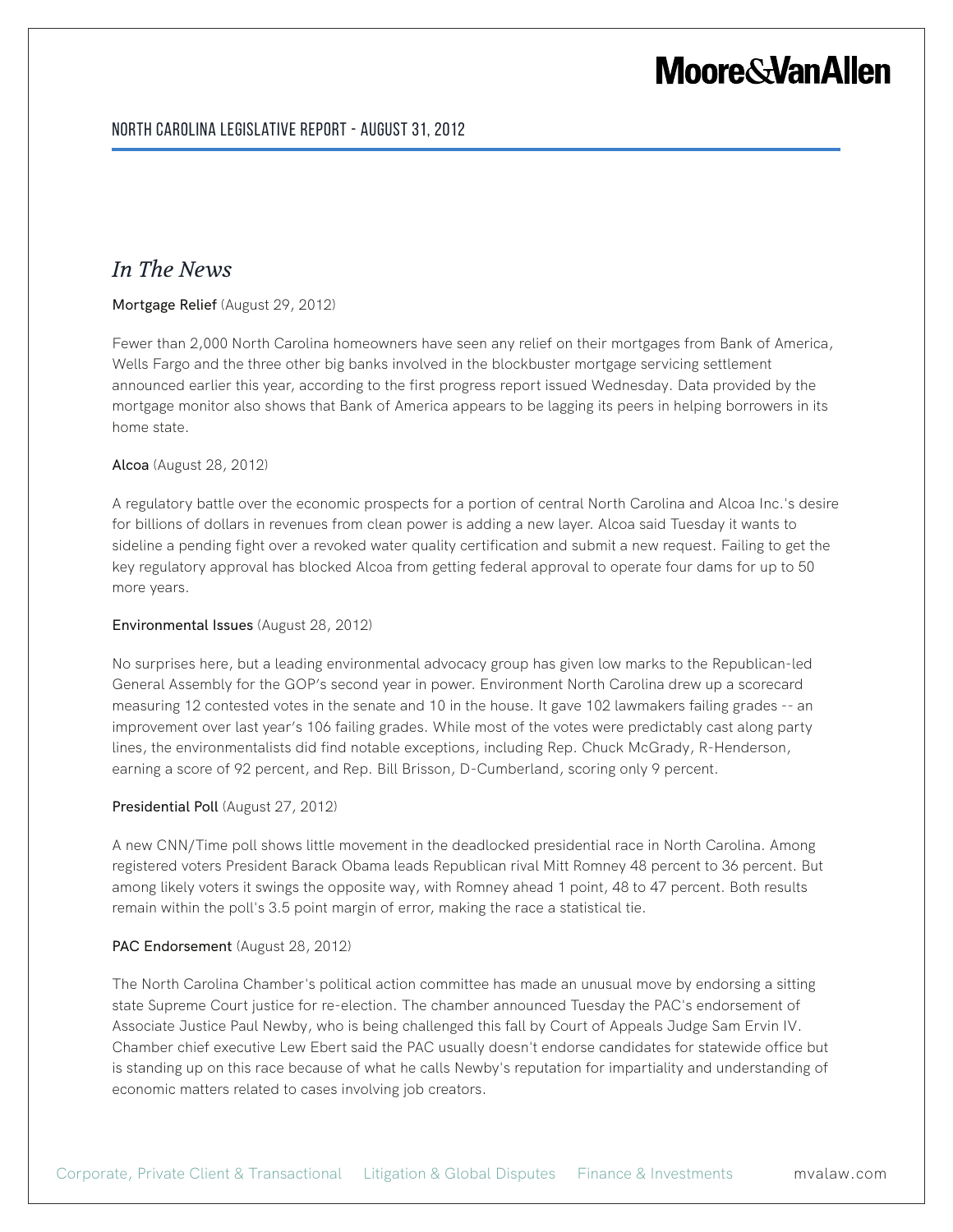### *In The News*

#### Mortgage Relief (August 29, 2012)

Fewer than 2,000 North Carolina homeowners have seen any relief on their mortgages from Bank of America, Wells Fargo and the three other big banks involved in the blockbuster mortgage servicing settlement announced earlier this year, according to the first progress report issued Wednesday. Data provided by the mortgage monitor also shows that Bank of America appears to be lagging its peers in helping borrowers in its home state.

#### Alcoa (August 28, 2012)

A regulatory battle over the economic prospects for a portion of central North Carolina and Alcoa Inc.'s desire for billions of dollars in revenues from clean power is adding a new layer. Alcoa said Tuesday it wants to sideline a pending fight over a revoked water quality certification and submit a new request. Failing to get the key regulatory approval has blocked Alcoa from getting federal approval to operate four dams for up to 50 more years.

#### Environmental Issues (August 28, 2012)

No surprises here, but a leading environmental advocacy group has given low marks to the Republican-led General Assembly for the GOP's second year in power. Environment North Carolina drew up a scorecard measuring 12 contested votes in the senate and 10 in the house. It gave 102 lawmakers failing grades -- an improvement over last year's 106 failing grades. While most of the votes were predictably cast along party lines, the environmentalists did find notable exceptions, including Rep. Chuck McGrady, R-Henderson, earning a score of 92 percent, and Rep. Bill Brisson, D-Cumberland, scoring only 9 percent.

#### Presidential Poll (August 27, 2012)

A new CNN/Time poll shows little movement in the deadlocked presidential race in North Carolina. Among registered voters President Barack Obama leads Republican rival Mitt Romney 48 percent to 36 percent. But among likely voters it swings the opposite way, with Romney ahead 1 point, 48 to 47 percent. Both results remain within the poll's 3.5 point margin of error, making the race a statistical tie.

#### PAC Endorsement (August 28, 2012)

The North Carolina Chamber's political action committee has made an unusual move by endorsing a sitting state Supreme Court justice for re-election. The chamber announced Tuesday the PAC's endorsement of Associate Justice Paul Newby, who is being challenged this fall by Court of Appeals Judge Sam Ervin IV. Chamber chief executive Lew Ebert said the PAC usually doesn't endorse candidates for statewide office but is standing up on this race because of what he calls Newby's reputation for impartiality and understanding of economic matters related to cases involving job creators.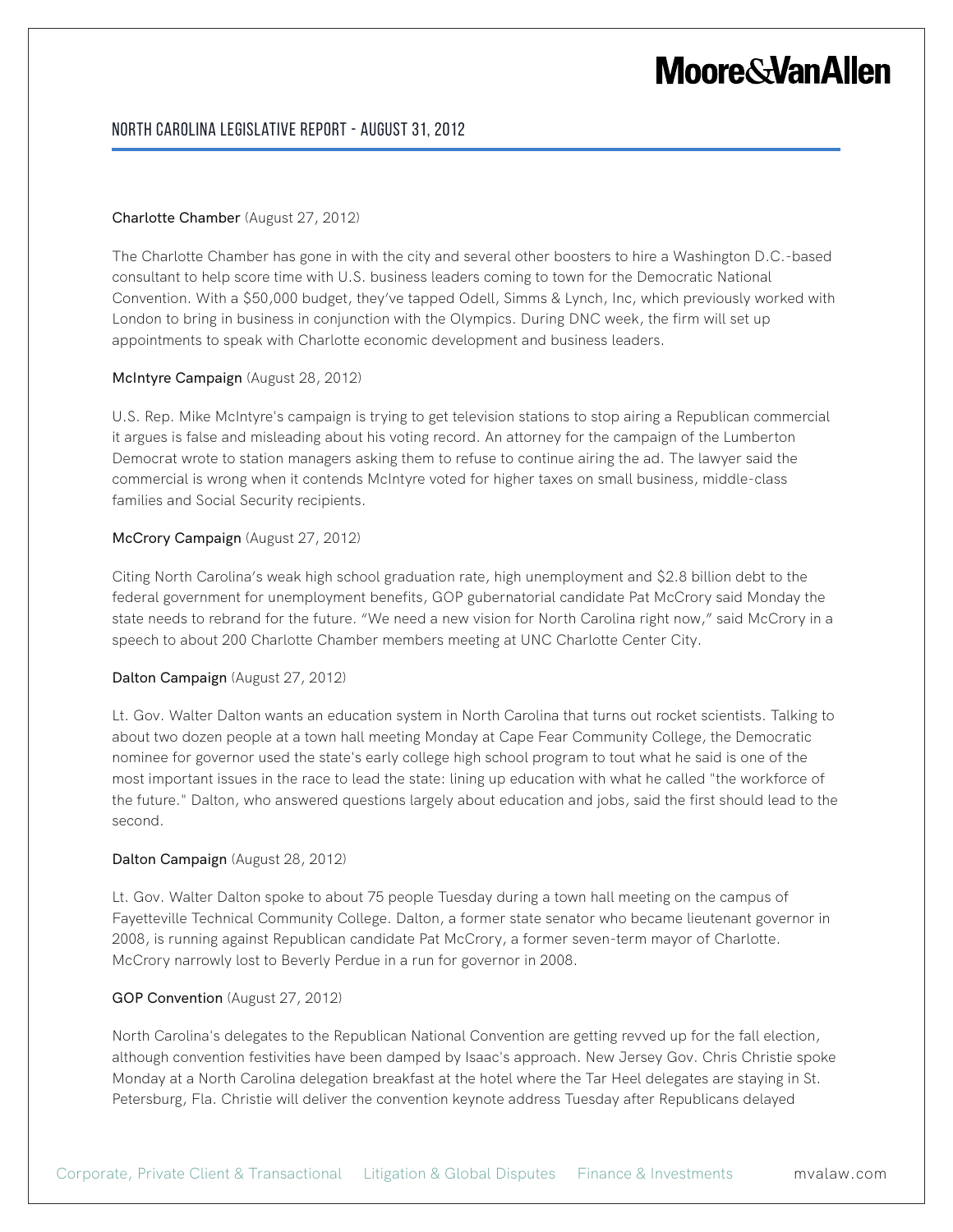#### North Carolina Legislative Report - August 31, 2012

#### Charlotte Chamber (August 27, 2012)

The Charlotte Chamber has gone in with the city and several other boosters to hire a Washington D.C.-based consultant to help score time with U.S. business leaders coming to town for the Democratic National Convention. With a \$50,000 budget, they've tapped Odell, Simms & Lynch, Inc, which previously worked with London to bring in business in conjunction with the Olympics. During DNC week, the firm will set up appointments to speak with Charlotte economic development and business leaders.

#### McIntyre Campaign (August 28, 2012)

U.S. Rep. Mike McIntyre's campaign is trying to get television stations to stop airing a Republican commercial it argues is false and misleading about his voting record. An attorney for the campaign of the Lumberton Democrat wrote to station managers asking them to refuse to continue airing the ad. The lawyer said the commercial is wrong when it contends McIntyre voted for higher taxes on small business, middle-class families and Social Security recipients.

#### McCrory Campaign (August 27, 2012)

Citing North Carolina's weak high school graduation rate, high unemployment and \$2.8 billion debt to the federal government for unemployment benefits, GOP gubernatorial candidate Pat McCrory said Monday the state needs to rebrand for the future. "We need a new vision for North Carolina right now," said McCrory in a speech to about 200 Charlotte Chamber members meeting at UNC Charlotte Center City.

#### Dalton Campaign (August 27, 2012)

Lt. Gov. Walter Dalton wants an education system in North Carolina that turns out rocket scientists. Talking to about two dozen people at a town hall meeting Monday at Cape Fear Community College, the Democratic nominee for governor used the state's early college high school program to tout what he said is one of the most important issues in the race to lead the state: lining up education with what he called "the workforce of the future." Dalton, who answered questions largely about education and jobs, said the first should lead to the second.

#### Dalton Campaign (August 28, 2012)

Lt. Gov. Walter Dalton spoke to about 75 people Tuesday during a town hall meeting on the campus of Fayetteville Technical Community College. Dalton, a former state senator who became lieutenant governor in 2008, is running against Republican candidate Pat McCrory, a former seven-term mayor of Charlotte. McCrory narrowly lost to Beverly Perdue in a run for governor in 2008.

#### GOP Convention (August 27, 2012)

North Carolina's delegates to the Republican National Convention are getting revved up for the fall election, although convention festivities have been damped by Isaac's approach. New Jersey Gov. Chris Christie spoke Monday at a North Carolina delegation breakfast at the hotel where the Tar Heel delegates are staying in St. Petersburg, Fla. Christie will deliver the convention keynote address Tuesday after Republicans delayed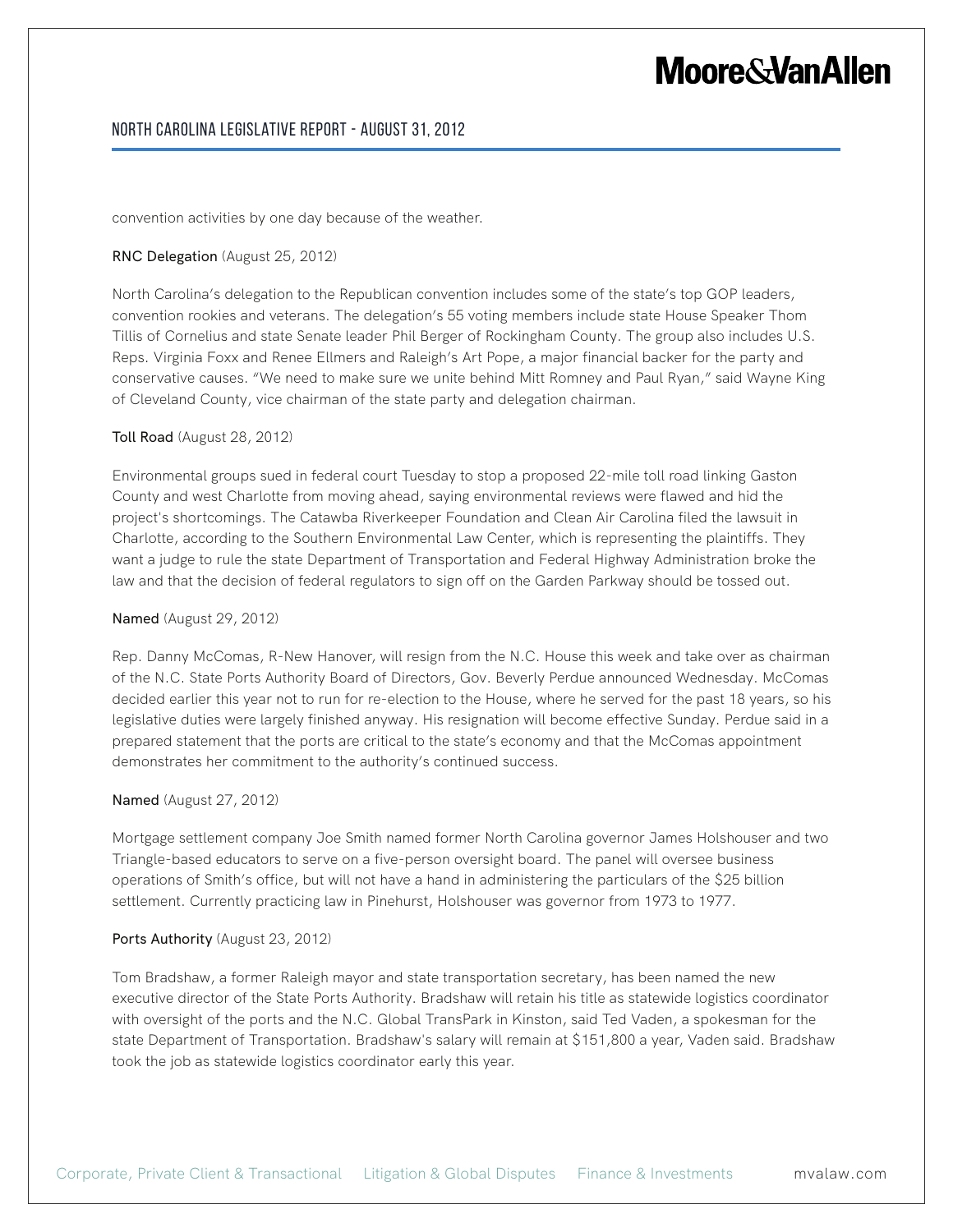#### North Carolina Legislative Report - August 31, 2012

convention activities by one day because of the weather.

#### RNC Delegation (August 25, 2012)

North Carolina's delegation to the Republican convention includes some of the state's top GOP leaders, convention rookies and veterans. The delegation's 55 voting members include state House Speaker Thom Tillis of Cornelius and state Senate leader Phil Berger of Rockingham County. The group also includes U.S. Reps. Virginia Foxx and Renee Ellmers and Raleigh's Art Pope, a major financial backer for the party and conservative causes. "We need to make sure we unite behind Mitt Romney and Paul Ryan," said Wayne King of Cleveland County, vice chairman of the state party and delegation chairman.

#### Toll Road (August 28, 2012)

Environmental groups sued in federal court Tuesday to stop a proposed 22-mile toll road linking Gaston County and west Charlotte from moving ahead, saying environmental reviews were flawed and hid the project's shortcomings. The Catawba Riverkeeper Foundation and Clean Air Carolina filed the lawsuit in Charlotte, according to the Southern Environmental Law Center, which is representing the plaintiffs. They want a judge to rule the state Department of Transportation and Federal Highway Administration broke the law and that the decision of federal regulators to sign off on the Garden Parkway should be tossed out.

#### Named (August 29, 2012)

Rep. Danny McComas, R-New Hanover, will resign from the N.C. House this week and take over as chairman of the N.C. State Ports Authority Board of Directors, Gov. Beverly Perdue announced Wednesday. McComas decided earlier this year not to run for re-election to the House, where he served for the past 18 years, so his legislative duties were largely finished anyway. His resignation will become effective Sunday. Perdue said in a prepared statement that the ports are critical to the state's economy and that the McComas appointment demonstrates her commitment to the authority's continued success.

#### Named (August 27, 2012)

Mortgage settlement company Joe Smith named former North Carolina governor James Holshouser and two Triangle-based educators to serve on a five-person oversight board. The panel will oversee business operations of Smith's office, but will not have a hand in administering the particulars of the \$25 billion settlement. Currently practicing law in Pinehurst, Holshouser was governor from 1973 to 1977.

#### Ports Authority (August 23, 2012)

Tom Bradshaw, a former Raleigh mayor and state transportation secretary, has been named the new executive director of the State Ports Authority. Bradshaw will retain his title as statewide logistics coordinator with oversight of the ports and the N.C. Global TransPark in Kinston, said Ted Vaden, a spokesman for the state Department of Transportation. Bradshaw's salary will remain at \$151,800 a year, Vaden said. Bradshaw took the job as statewide logistics coordinator early this year.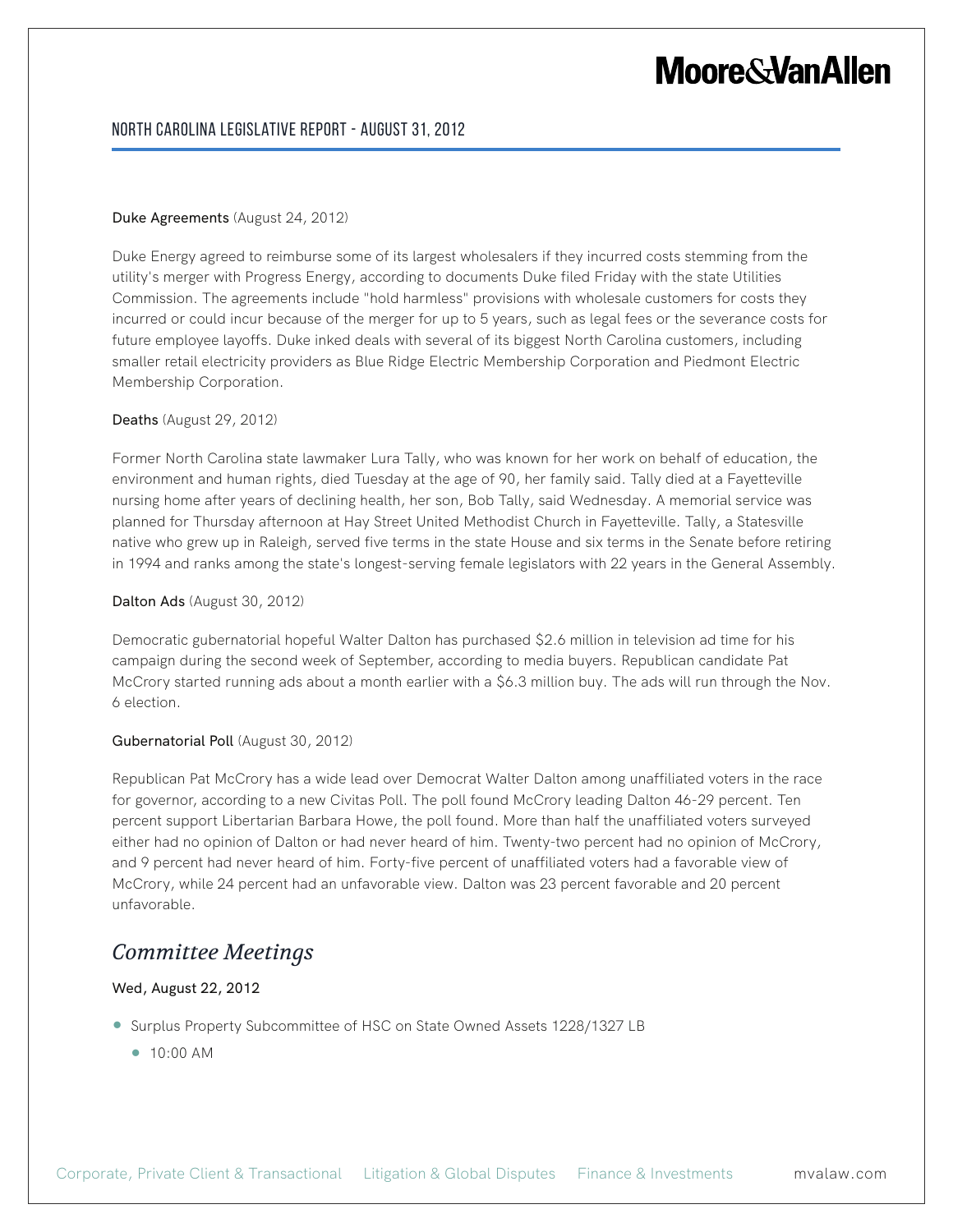#### North Carolina Legislative Report - August 31, 2012

#### Duke Agreements (August 24, 2012)

Duke Energy agreed to reimburse some of its largest wholesalers if they incurred costs stemming from the utility's merger with Progress Energy, according to documents Duke filed Friday with the state Utilities Commission. The agreements include "hold harmless" provisions with wholesale customers for costs they incurred or could incur because of the merger for up to 5 years, such as legal fees or the severance costs for future employee layoffs. Duke inked deals with several of its biggest North Carolina customers, including smaller retail electricity providers as Blue Ridge Electric Membership Corporation and Piedmont Electric Membership Corporation.

#### Deaths (August 29, 2012)

Former North Carolina state lawmaker Lura Tally, who was known for her work on behalf of education, the environment and human rights, died Tuesday at the age of 90, her family said. Tally died at a Fayetteville nursing home after years of declining health, her son, Bob Tally, said Wednesday. A memorial service was planned for Thursday afternoon at Hay Street United Methodist Church in Fayetteville. Tally, a Statesville native who grew up in Raleigh, served five terms in the state House and six terms in the Senate before retiring in 1994 and ranks among the state's longest-serving female legislators with 22 years in the General Assembly.

#### Dalton Ads (August 30, 2012)

Democratic gubernatorial hopeful Walter Dalton has purchased \$2.6 million in television ad time for his campaign during the second week of September, according to media buyers. Republican candidate Pat McCrory started running ads about a month earlier with a \$6.3 million buy. The ads will run through the Nov. 6 election.

#### Gubernatorial Poll (August 30, 2012)

Republican Pat McCrory has a wide lead over Democrat Walter Dalton among unaffiliated voters in the race for governor, according to a new Civitas Poll. The poll found McCrory leading Dalton 46-29 percent. Ten percent support Libertarian Barbara Howe, the poll found. More than half the unaffiliated voters surveyed either had no opinion of Dalton or had never heard of him. Twenty-two percent had no opinion of McCrory, and 9 percent had never heard of him. Forty-five percent of unaffiliated voters had a favorable view of McCrory, while 24 percent had an unfavorable view. Dalton was 23 percent favorable and 20 percent unfavorable.

### *Committee Meetings*

#### Wed, August 22, 2012

- Surplus Property Subcommittee of HSC on State Owned Assets 1228/1327 LB
	- 10:00 AM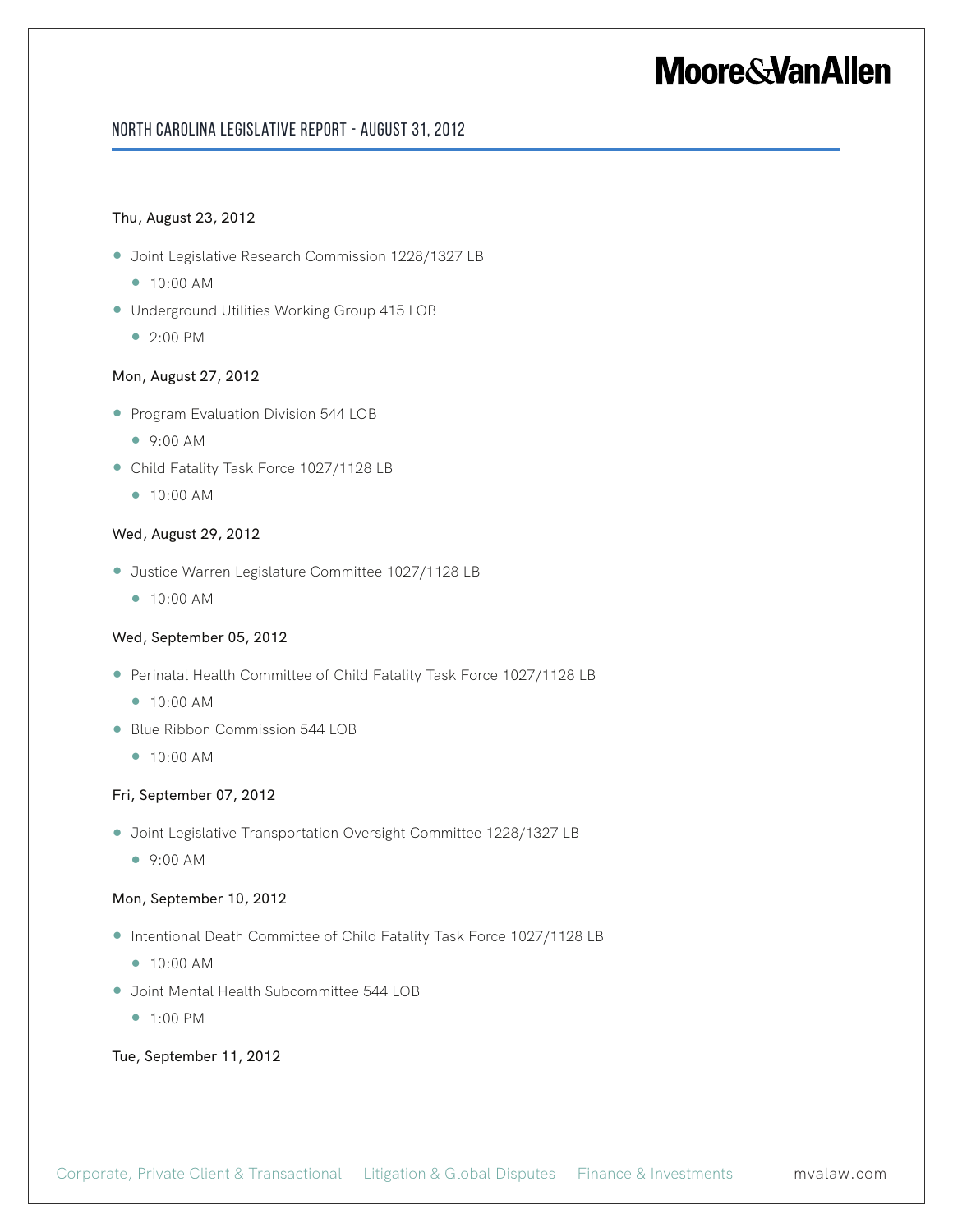#### North Carolina Legislative Report - August 31, 2012

#### Thu, August 23, 2012

- Joint Legislative Research Commission 1228/1327 LB
	- 10:00 AM
- Underground Utilities Working Group 415 LOB
	- 2:00 PM

#### Mon, August 27, 2012

- Program Evaluation Division 544 LOB
	- 9:00 AM
- Child Fatality Task Force 1027/1128 LB
	- 10:00 AM

#### Wed, August 29, 2012

- Justice Warren Legislature Committee 1027/1128 LB
	- 10:00 AM

#### Wed, September 05, 2012

- Perinatal Health Committee of Child Fatality Task Force 1027/1128 LB
	- 10:00 AM
- Blue Ribbon Commission 544 LOB
	- 10:00 AM

#### Fri, September 07, 2012

- Joint Legislative Transportation Oversight Committee 1228/1327 LB
	- 9:00 AM

#### Mon, September 10, 2012

- Intentional Death Committee of Child Fatality Task Force 1027/1128 LB
	- 10:00 AM
- Joint Mental Health Subcommittee 544 LOB
	- 1:00 PM

#### Tue, September 11, 2012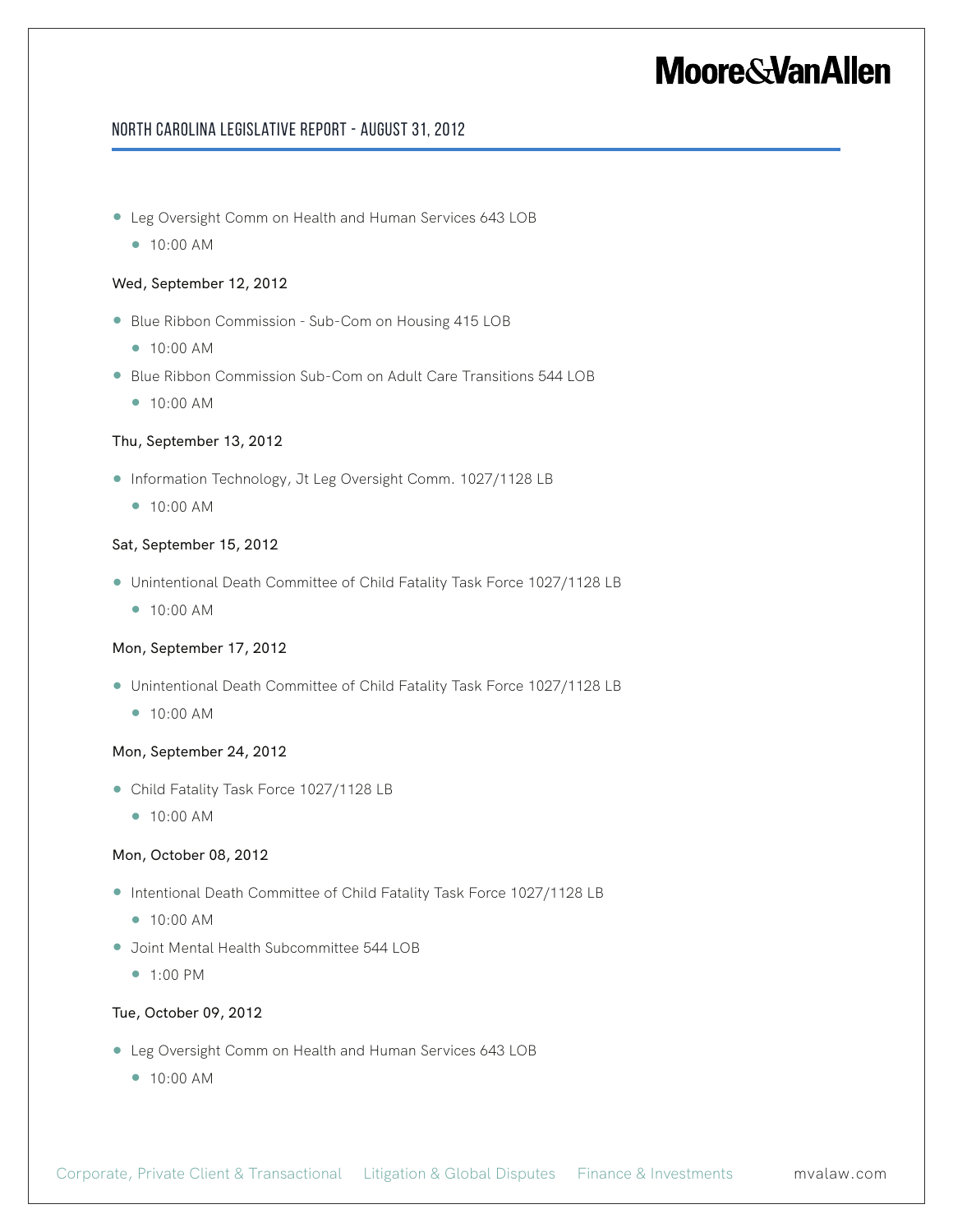#### North Carolina Legislative Report - August 31, 2012

- Leg Oversight Comm on Health and Human Services 643 LOB
	- 10:00 AM

#### Wed, September 12, 2012

- Blue Ribbon Commission Sub-Com on Housing 415 LOB
	- 10:00 AM
- Blue Ribbon Commission Sub-Com on Adult Care Transitions 544 LOB
	- 10:00 AM

#### Thu, September 13, 2012

- Information Technology, Jt Leg Oversight Comm. 1027/1128 LB
	- 10:00 AM

#### Sat, September 15, 2012

- Unintentional Death Committee of Child Fatality Task Force 1027/1128 LB
	- 10:00 AM

#### Mon, September 17, 2012

- Unintentional Death Committee of Child Fatality Task Force 1027/1128 LB
	- 10:00 AM

#### Mon, September 24, 2012

- Child Fatality Task Force 1027/1128 LB
	- 10:00 AM

#### Mon, October 08, 2012

- Intentional Death Committee of Child Fatality Task Force 1027/1128 LB
	- 10:00 AM
- Joint Mental Health Subcommittee 544 LOB
	- 1:00 PM

#### Tue, October 09, 2012

- Leg Oversight Comm on Health and Human Services 643 LOB
	- 10:00 AM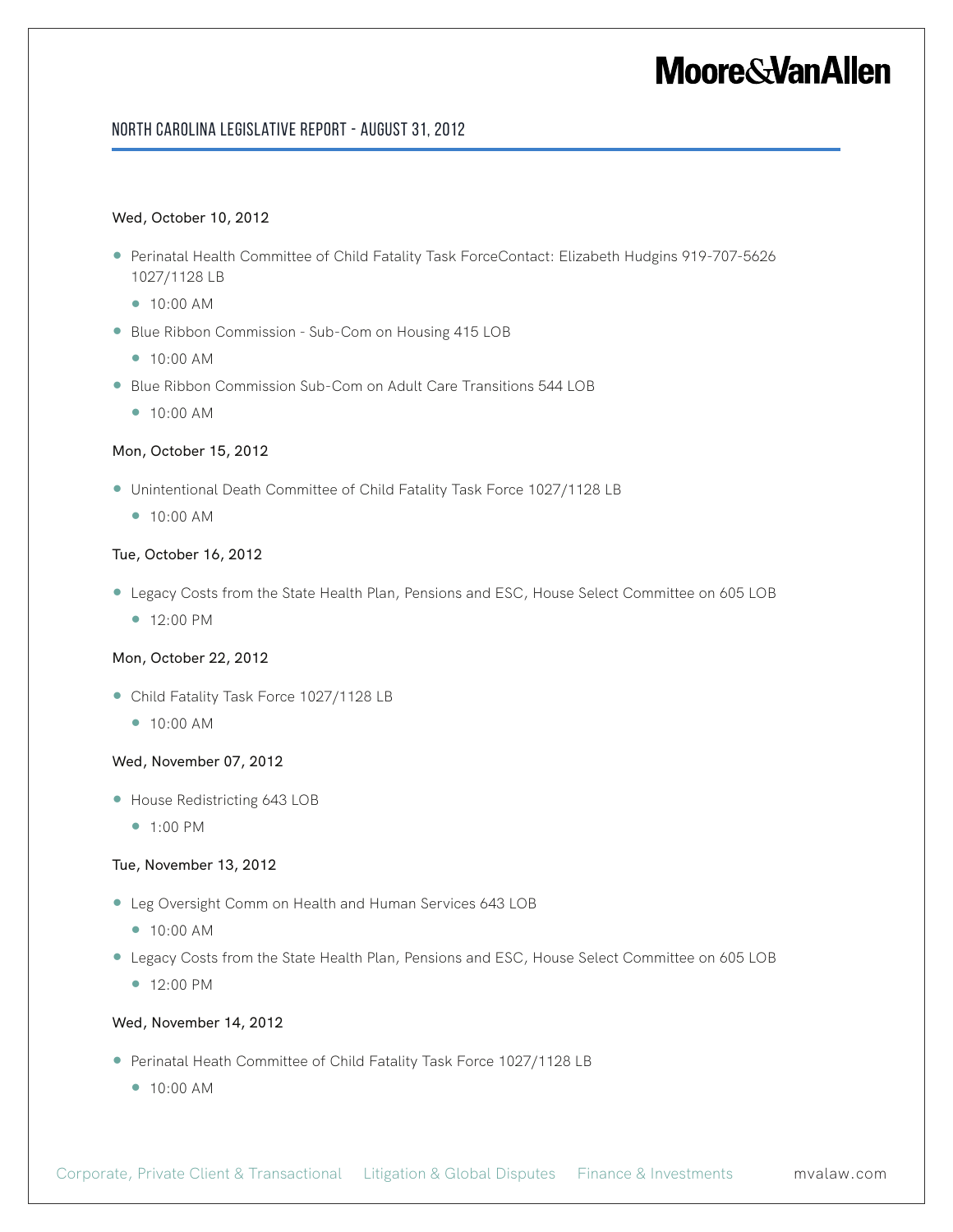#### North Carolina Legislative Report - August 31, 2012

#### Wed, October 10, 2012

- Perinatal Health Committee of Child Fatality Task ForceContact: Elizabeth Hudgins 919-707-5626 1027/1128 LB
	- 10:00 AM
- Blue Ribbon Commission Sub-Com on Housing 415 LOB
	- 10:00 AM
- Blue Ribbon Commission Sub-Com on Adult Care Transitions 544 LOB
	- 10:00 AM

#### Mon, October 15, 2012

- Unintentional Death Committee of Child Fatality Task Force 1027/1128 LB
	- 10:00 AM

#### Tue, October 16, 2012

- Legacy Costs from the State Health Plan, Pensions and ESC, House Select Committee on 605 LOB
	- 12:00 PM

#### Mon, October 22, 2012

- Child Fatality Task Force 1027/1128 LB
	- 10:00 AM

#### Wed, November 07, 2012

- House Redistricting 643 LOB
	- 1:00 PM

#### Tue, November 13, 2012

- Leg Oversight Comm on Health and Human Services 643 LOB
	- 10:00 AM
- Legacy Costs from the State Health Plan, Pensions and ESC, House Select Committee on 605 LOB
	- 12:00 PM

#### Wed, November 14, 2012

- Perinatal Heath Committee of Child Fatality Task Force 1027/1128 LB
	- 10:00 AM